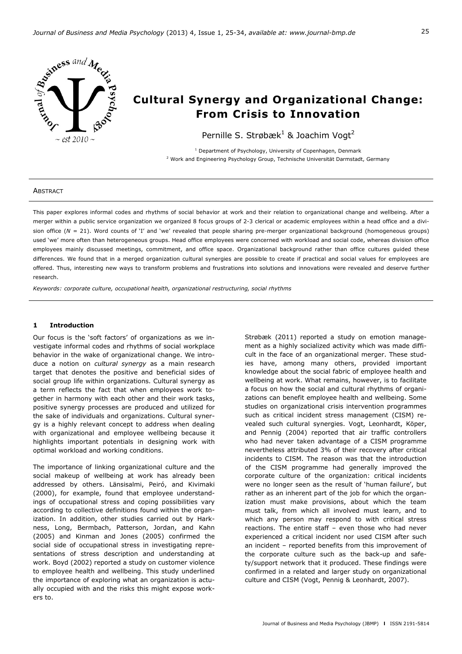

# **Cultural Synergy and Organizational Change: From Crisis to Innovation**

Pernille S. Strøbæk<sup>1</sup> & Joachim Vogt<sup>2</sup>

<sup>1</sup> Department of Psychology, University of Copenhagen, Denmark <sup>2</sup> Work and Engineering Psychology Group, Technische Universität Darmstadt, Germany

#### **ABSTRACT**

This paper explores informal codes and rhythms of social behavior at work and their relation to organizational change and wellbeing. After a merger within a public service organization we organized 8 focus groups of 2-3 clerical or academic employees within a head office and a division office ( $N = 21$ ). Word counts of 'I' and 'we' revealed that people sharing pre-merger organizational background (homogeneous groups) used 'we' more often than heterogeneous groups. Head office employees were concerned with workload and social code, whereas division office employees mainly discussed meetings, commitment, and office space. Organizational background rather than office cultures guided these differences. We found that in a merged organization cultural synergies are possible to create if practical and social values for employees are offered. Thus, interesting new ways to transform problems and frustrations into solutions and innovations were revealed and deserve further research.

*Keywords: corporate culture, occupational health, organizational restructuring, social rhythms* 

## **1 Introduction**

Our focus is the 'soft factors' of organizations as we investigate informal codes and rhythms of social workplace behavior in the wake of organizational change. We introduce a notion on *cultural synergy* as a main research target that denotes the positive and beneficial sides of social group life within organizations. Cultural synergy as a term reflects the fact that when employees work together in harmony with each other and their work tasks, positive synergy processes are produced and utilized for the sake of individuals and organizations. Cultural synergy is a highly relevant concept to address when dealing with organizational and employee wellbeing because it highlights important potentials in designing work with optimal workload and working conditions.

The importance of linking organizational culture and the social makeup of wellbeing at work has already been addressed by others. Länsisalmi, Peiró, and Kivimaki (2000), for example, found that employee understandings of occupational stress and coping possibilities vary according to collective definitions found within the organization. In addition, other studies carried out by Harkness, Long, Bermbach, Patterson, Jordan, and Kahn (2005) and Kinman and Jones (2005) confirmed the social side of occupational stress in investigating representations of stress description and understanding at work. Boyd (2002) reported a study on customer violence to employee health and wellbeing. This study underlined the importance of exploring what an organization is actually occupied with and the risks this might expose workers to.

Strøbæk (2011) reported a study on emotion management as a highly socialized activity which was made difficult in the face of an organizational merger. These studies have, among many others, provided important knowledge about the social fabric of employee health and wellbeing at work. What remains, however, is to facilitate a focus on how the social and cultural rhythms of organizations can benefit employee health and wellbeing. Some studies on organizational crisis intervention programmes such as critical incident stress management (CISM) revealed such cultural synergies. Vogt, Leonhardt, Köper, and Pennig (2004) reported that air traffic controllers who had never taken advantage of a CISM programme nevertheless attributed 3% of their recovery after critical incidents to CISM. The reason was that the introduction of the CISM programme had generally improved the corporate culture of the organization: critical incidents were no longer seen as the result of 'human failure', but rather as an inherent part of the job for which the organization must make provisions, about which the team must talk, from which all involved must learn, and to which any person may respond to with critical stress reactions. The entire staff – even those who had never experienced a critical incident nor used CISM after such an incident – reported benefits from this improvement of the corporate culture such as the back-up and safety/support network that it produced. These findings were confirmed in a related and larger study on organizational culture and CISM (Vogt, Pennig & Leonhardt, 2007).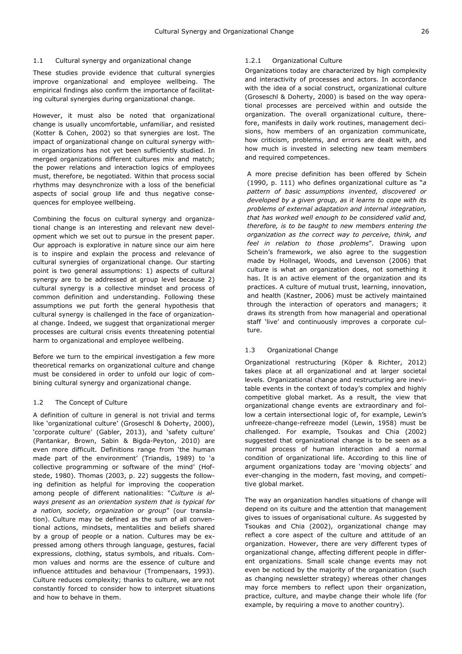## 1.1 Cultural synergy and organizational change

These studies provide evidence that cultural synergies improve organizational and employee wellbeing. The empirical findings also confirm the importance of facilitating cultural synergies during organizational change.

However, it must also be noted that organizational change is usually uncomfortable, unfamiliar, and resisted (Kotter & Cohen, 2002) so that synergies are lost. The impact of organizational change on cultural synergy within organizations has not yet been sufficiently studied. In merged organizations different cultures mix and match; the power relations and interaction logics of employees must, therefore, be negotiated. Within that process social rhythms may desynchronize with a loss of the beneficial aspects of social group life and thus negative consequences for employee wellbeing.

Combining the focus on cultural synergy and organizational change is an interesting and relevant new development which we set out to pursue in the present paper. Our approach is explorative in nature since our aim here is to inspire and explain the process and relevance of cultural synergies of organizational change. Our starting point is two general assumptions: 1) aspects of cultural synergy are to be addressed at group level because 2) cultural synergy is a collective mindset and process of common definition and understanding. Following these assumptions we put forth the general hypothesis that cultural synergy is challenged in the face of organizational change. Indeed, we suggest that organizational merger processes are cultural crisis events threatening potential harm to organizational and employee wellbeing.

Before we turn to the empirical investigation a few more theoretical remarks on organizational culture and change must be considered in order to unfold our logic of combining cultural synergy and organizational change.

# 1.2 The Concept of Culture

A definition of culture in general is not trivial and terms like 'organizational culture' (Groseschl & Doherty, 2000), 'corporate culture' (Gabler, 2013), and 'safety culture' (Pantankar, Brown, Sabin & Bigda-Peyton, 2010) are even more difficult. Definitions range from 'the human made part of the environment' (Triandis, 1989) to 'a collective programming or software of the mind' (Hofstede, 1980). Thomas (2003, p. 22) suggests the following definition as helpful for improving the cooperation among people of different nationalities: "*Culture is always present as an orientation system that is typical for a nation, society, organization or group*" (our translation). Culture may be defined as the sum of all conventional actions, mindsets, mentalities and beliefs shared by a group of people or a nation. Cultures may be expressed among others through language, gestures, facial expressions, clothing, status symbols, and rituals. Common values and norms are the essence of culture and influence attitudes and behaviour (Trompenaars, 1993). Culture reduces complexity; thanks to culture, we are not constantly forced to consider how to interpret situations and how to behave in them.

## 1.2.1 Organizational Culture

Organizations today are characterized by high complexity and interactivity of processes and actors. In accordance with the idea of a social construct, organizational culture (Groseschl & Doherty, 2000) is based on the way operational processes are perceived within and outside the organization. The overall organizational culture, therefore, manifests in daily work routines, management decisions, how members of an organization communicate, how criticism, problems, and errors are dealt with, and how much is invested in selecting new team members and required competences.

A more precise definition has been offered by Schein (1990, p. 111) who defines organizational culture as "*a pattern of basic assumptions invented, discovered or developed by a given group, as it learns to cope with its problems of external adaptation and internal integration, that has worked well enough to be considered valid and, therefore, is to be taught to new members entering the organization as the correct way to perceive, think, and feel in relation to those problems*". Drawing upon Schein's framework, we also agree to the suggestion made by Hollnagel, Woods, and Levenson (2006) that culture is what an organization does, not something it has. It is an active element of the organization and its practices. A culture of mutual trust, learning, innovation, and health (Kastner, 2006) must be actively maintained through the interaction of operators and managers; it draws its strength from how managerial and operational staff 'live' and continuously improves a corporate culture.

# 1.3 Organizational Change

Organizational restructuring (Köper & Richter, 2012) takes place at all organizational and at larger societal levels. Organizational change and restructuring are inevitable events in the context of today's complex and highly competitive global market. As a result, the view that organizational change events are extraordinary and follow a certain intersectional logic of, for example, Lewin's unfreeze-change-refreeze model (Lewin, 1958) must be challenged. For example, Tsoukas and Chia (2002) suggested that organizational change is to be seen as a normal process of human interaction and a normal condition of organizational life. According to this line of argument organizations today are 'moving objects' and ever-changing in the modern, fast moving, and competitive global market.

The way an organization handles situations of change will depend on its culture and the attention that management gives to issues of organisational culture. As suggested by Tsoukas and Chia (2002), organizational change may reflect a core aspect of the culture and attitude of an organization. However, there are very different types of organizational change, affecting different people in different organizations. Small scale change events may not even be noticed by the majority of the organization (such as changing newsletter strategy) whereas other changes may force members to reflect upon their organization, practice, culture, and maybe change their whole life (for example, by requiring a move to another country).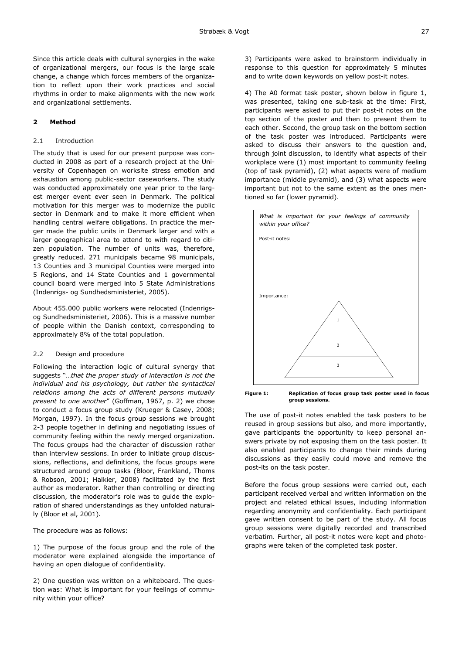Since this article deals with cultural synergies in the wake of organizational mergers, our focus is the large scale change, a change which forces members of the organization to reflect upon their work practices and social rhythms in order to make alignments with the new work and organizational settlements.

# **2 Method**

## 2.1 Introduction

The study that is used for our present purpose was conducted in 2008 as part of a research project at the University of Copenhagen on worksite stress emotion and exhaustion among public-sector caseworkers. The study was conducted approximately one year prior to the largest merger event ever seen in Denmark. The political motivation for this merger was to modernize the public sector in Denmark and to make it more efficient when handling central welfare obligations. In practice the merger made the public units in Denmark larger and with a larger geographical area to attend to with regard to citizen population. The number of units was, therefore, greatly reduced. 271 municipals became 98 municipals, 13 Counties and 3 municipal Counties were merged into 5 Regions, and 14 State Counties and 1 governmental council board were merged into 5 State Administrations (Indenrigs- og Sundhedsministeriet, 2005).

About 455.000 public workers were relocated (Indenrigsog Sundhedsministeriet, 2006). This is a massive number of people within the Danish context, corresponding to approximately 8% of the total population.

## 2.2 Design and procedure

Following the interaction logic of cultural synergy that suggests "…*that the proper study of interaction is not the individual and his psychology, but rather the syntactical relations among the acts of different persons mutually present to one another*" (Goffman, 1967, p. 2) we chose to conduct a focus group study (Krueger & Casey, 2008; Morgan, 1997). In the focus group sessions we brought 2-3 people together in defining and negotiating issues of community feeling within the newly merged organization. The focus groups had the character of discussion rather than interview sessions. In order to initiate group discussions, reflections, and definitions, the focus groups were structured around group tasks (Bloor, Frankland, Thoms & Robson, 2001; Halkier, 2008) facilitated by the first author as moderator. Rather than controlling or directing discussion, the moderator's role was to guide the exploration of shared understandings as they unfolded naturally (Bloor et al, 2001).

The procedure was as follows:

1) The purpose of the focus group and the role of the moderator were explained alongside the importance of having an open dialogue of confidentiality.

2) One question was written on a whiteboard. The question was: What is important for your feelings of community within your office?

3) Participants were asked to brainstorm individually in response to this question for approximately 5 minutes and to write down keywords on yellow post-it notes.

4) The A0 format task poster, shown below in figure 1, was presented, taking one sub-task at the time: First, participants were asked to put their post-it notes on the top section of the poster and then to present them to each other. Second, the group task on the bottom section of the task poster was introduced. Participants were asked to discuss their answers to the question and, through joint discussion, to identify what aspects of their workplace were (1) most important to community feeling (top of task pyramid), (2) what aspects were of medium importance (middle pyramid), and (3) what aspects were important but not to the same extent as the ones mentioned so far (lower pyramid).



**Figure 1: Replication of focus group task poster used in focus group sessions.**

The use of post-it notes enabled the task posters to be reused in group sessions but also, and more importantly, gave participants the opportunity to keep personal answers private by not exposing them on the task poster. It also enabled participants to change their minds during discussions as they easily could move and remove the post-its on the task poster.

Before the focus group sessions were carried out, each participant received verbal and written information on the project and related ethical issues, including information regarding anonymity and confidentiality. Each participant gave written consent to be part of the study. All focus group sessions were digitally recorded and transcribed verbatim. Further, all post-it notes were kept and photographs were taken of the completed task poster.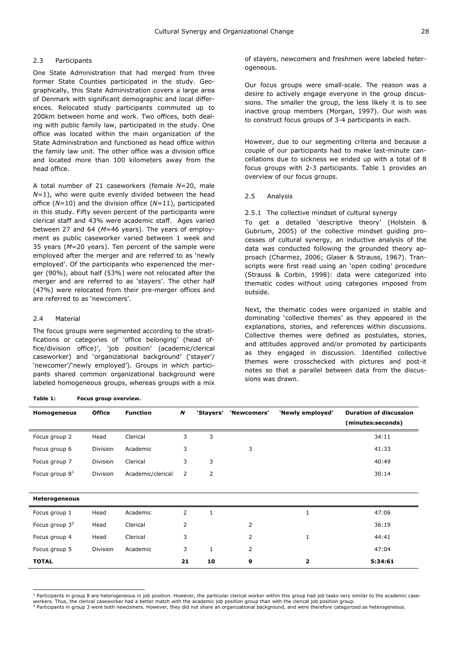# 2.3 Participants

One State Administration that had merged from three former State Counties participated in the study. Geographically, this State Administration covers a large area of Denmark with significant demographic and local differences. Relocated study participants commuted up to 200km between home and work. Two offices, both dealing with public family law, participated in the study. One office was located within the main organization of the State Administration and functioned as head office within the family law unit. The other office was a division office and located more than 100 kilometers away from the head office.

A total number of 21 caseworkers (female *N*=20, male *N*=1), who were quite evenly divided between the head office (*N=*10) and the division office (*N=*11), participated in this study. Fifty seven percent of the participants were clerical staff and 43% were academic staff. Ages varied between 27 and 64 (*M*=46 years). The years of employment as public caseworker varied between 1 week and 35 years (*M*=20 years). Ten percent of the sample were employed after the merger and are referred to as 'newly employed'. Of the participants who experienced the merger (90%), about half (53%) were not relocated after the merger and are referred to as 'stayers'. The other half (47%) were relocated from their pre-merger offices and are referred to as 'newcomers'.

# 2.4 Material

The focus groups were segmented according to the stratifications or categories of 'office belonging' (head office/division office)', 'job position' (academic/clerical caseworker) and 'organizational background' ('stayer'/ 'newcomer'/'newly employed'). Groups in which participants shared common organizational background were labeled homogeneous groups, whereas groups with a mix

#### **Table 1: Focus group overview.**

of stayers, newcomers and freshmen were labeled heterogeneous.

Our focus groups were small-scale. The reason was a desire to actively engage everyone in the group discussions. The smaller the group, the less likely it is to see inactive group members (Morgan, 1997). Our wish was to construct focus groups of 3-4 participants in each.

However, due to our segmenting criteria and because a couple of our participants had to make last-minute cancellations due to sickness we ended up with a total of 8 focus groups with 2-3 participants. Table 1 provides an overview of our focus groups.

2.5 Analysis

#### 2.5.1 The collective mindset of cultural synergy

To get a detailed 'descriptive theory' (Holstein & Gubrium, 2005) of the collective mindset guiding processes of cultural synergy, an inductive analysis of the data was conducted following the grounded theory approach (Charmez, 2006; Glaser & Strauss, 1967). Transcripts were first read using an 'open coding' procedure (Strauss & Corbin, 1998): data were categorized into thematic codes without using categories imposed from outside.

Next, the thematic codes were organized in stable and dominating 'collective themes' as they appeared in the explanations, stories, and references within discussions. Collective themes were defined as postulates, stories, and attitudes approved and/or promoted by participants as they engaged in discussion. Identified collective themes were crosschecked with pictures and post-it notes so that a parallel between data from the discussions was drawn.

| Homogeneous          | <b>Office</b>   | <b>Function</b>   | N              | 'Stayers'    | 'Newcomers' | 'Newly employed' | <b>Duration of discussion</b> |
|----------------------|-----------------|-------------------|----------------|--------------|-------------|------------------|-------------------------------|
|                      |                 |                   |                |              |             |                  | (minutes:seconds)             |
| Focus group 2        | Head            | Clerical          | 3              | 3            |             |                  | 34:11                         |
| Focus group 6        | Division        | Academic          | 3              |              | 3           |                  | 41:33                         |
| Focus group 7        | Division        | Clerical          | 3              | 3            |             |                  | 40:49                         |
| Focus group $81$     | Division        | Academic/clerical | $\overline{2}$ | 2            |             |                  | 30:14                         |
|                      |                 |                   |                |              |             |                  |                               |
| <b>Heterogeneous</b> |                 |                   |                |              |             |                  |                               |
| Focus group 1        | Head            | Academic          | $\overline{2}$ | $\mathbf{1}$ |             |                  | 47:06                         |
| Focus group $32$     | Head            | Clerical          | 2              |              | 2           |                  | 36:19                         |
| Focus group 4        | Head            | Clerical          | 3              |              | 2           | $\mathbf{1}$     | 44:41                         |
| Focus group 5        | <b>Division</b> | Academic          | 3              | $\mathbf 1$  | 2           |                  | 47:04                         |
| <b>TOTAL</b>         |                 |                   | 21             | 10           | 9           | 2                | 5:34:61                       |

 1 Participants in group 8 are heterogeneous in job position. However, the particular clerical worker within this group had job tasks very similar to the academic caseworkers. Thus, the clerical caseworker had a better match with the academic job position group than with the clerical job position group.

workers, rins, uie deindar daeworker nad a beder maddrimdie adademic job positoni group diam wid den die demense on producer attegorized as heterogeneous.<br>2 Participants in group 3 were both newcomers. However, they did no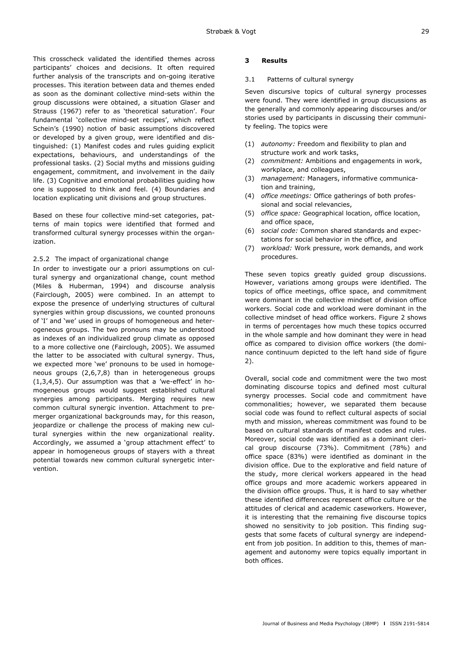This crosscheck validated the identified themes across participants' choices and decisions. It often required further analysis of the transcripts and on-going iterative processes. This iteration between data and themes ended as soon as the dominant collective mind-sets within the group discussions were obtained, a situation Glaser and Strauss (1967) refer to as 'theoretical saturation'. Four fundamental 'collective mind-set recipes', which reflect Schein's (1990) notion of basic assumptions discovered or developed by a given group, were identified and distinguished: (1) Manifest codes and rules guiding explicit expectations, behaviours, and understandings of the professional tasks. (2) Social myths and missions guiding engagement, commitment, and involvement in the daily life. (3) Cognitive and emotional probabilities guiding how one is supposed to think and feel. (4) Boundaries and location explicating unit divisions and group structures.

Based on these four collective mind-set categories, patterns of main topics were identified that formed and transformed cultural synergy processes within the organization.

# 2.5.2 The impact of organizational change

In order to investigate our a priori assumptions on cultural synergy and organizational change, count method (Miles & Huberman, 1994) and discourse analysis (Fairclough, 2005) were combined. In an attempt to expose the presence of underlying structures of cultural synergies within group discussions, we counted pronouns of 'I' and 'we' used in groups of homogeneous and heterogeneous groups. The two pronouns may be understood as indexes of an individualized group climate as opposed to a more collective one (Fairclough, 2005). We assumed the latter to be associated with cultural synergy. Thus, we expected more 'we' pronouns to be used in homogeneous groups (2,6,7,8) than in heterogeneous groups (1,3,4,5). Our assumption was that a 'we-effect' in homogeneous groups would suggest established cultural synergies among participants. Merging requires new common cultural synergic invention. Attachment to premerger organizational backgrounds may, for this reason, jeopardize or challenge the process of making new cultural synergies within the new organizational reality. Accordingly, we assumed a 'group attachment effect' to appear in homogeneous groups of stayers with a threat potential towards new common cultural synergetic intervention.

# **3 Results**

# 3.1 Patterns of cultural synergy

Seven discursive topics of cultural synergy processes were found. They were identified in group discussions as the generally and commonly appearing discourses and/or stories used by participants in discussing their community feeling. The topics were

- (1) *autonomy:* Freedom and flexibility to plan and structure work and work tasks,
- (2) *commitment:* Ambitions and engagements in work, workplace, and colleagues,
- (3) *management:* Managers, informative communication and training,
- (4) *office meetings:* Office gatherings of both professional and social relevancies,
- (5) *office space:* Geographical location, office location, and office space,
- (6) *social code:* Common shared standards and expectations for social behavior in the office, and
- (7) *workload:* Work pressure, work demands, and work procedures.

These seven topics greatly guided group discussions. However, variations among groups were identified. The topics of office meetings, office space, and commitment were dominant in the collective mindset of division office workers. Social code and workload were dominant in the collective mindset of head office workers. Figure 2 shows in terms of percentages how much these topics occurred in the whole sample and how dominant they were in head office as compared to division office workers (the dominance continuum depicted to the left hand side of figure 2).

Overall, social code and commitment were the two most dominating discourse topics and defined most cultural synergy processes. Social code and commitment have commonalities; however, we separated them because social code was found to reflect cultural aspects of social myth and mission, whereas commitment was found to be based on cultural standards of manifest codes and rules. Moreover, social code was identified as a dominant clerical group discourse (73%). Commitment (78%) and office space (83%) were identified as dominant in the division office. Due to the explorative and field nature of the study, more clerical workers appeared in the head office groups and more academic workers appeared in the division office groups. Thus, it is hard to say whether these identified differences represent office culture or the attitudes of clerical and academic caseworkers. However, it is interesting that the remaining five discourse topics showed no sensitivity to job position. This finding suggests that some facets of cultural synergy are independent from job position. In addition to this, themes of management and autonomy were topics equally important in both offices.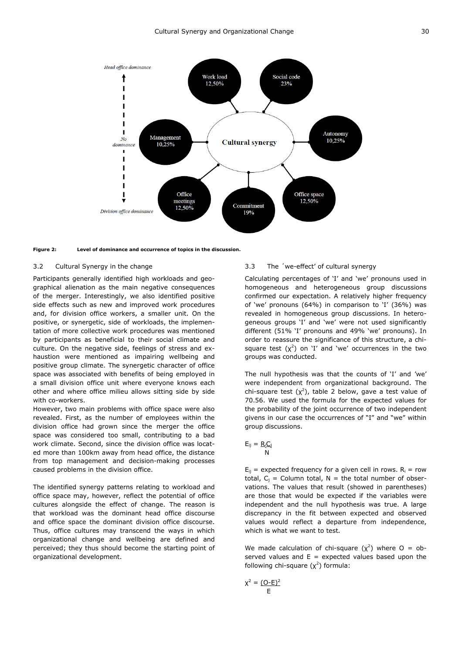



## 3.2 Cultural Synergy in the change

Participants generally identified high workloads and geographical alienation as the main negative consequences of the merger. Interestingly, we also identified positive side effects such as new and improved work procedures and, for division office workers, a smaller unit. On the positive, or synergetic, side of workloads, the implementation of more collective work procedures was mentioned by participants as beneficial to their social climate and culture. On the negative side, feelings of stress and exhaustion were mentioned as impairing wellbeing and positive group climate. The synergetic character of office space was associated with benefits of being employed in a small division office unit where everyone knows each other and where office milieu allows sitting side by side with co-workers.

However, two main problems with office space were also revealed. First, as the number of employees within the division office had grown since the merger the office space was considered too small, contributing to a bad work climate. Second, since the division office was located more than 100km away from head office, the distance from top management and decision-making processes caused problems in the division office.

The identified synergy patterns relating to workload and office space may, however, reflect the potential of office cultures alongside the effect of change. The reason is that workload was the dominant head office discourse and office space the dominant division office discourse. Thus, office cultures may transcend the ways in which organizational change and wellbeing are defined and perceived; they thus should become the starting point of organizational development.

## 3.3 The ´we-effect' of cultural synergy

Calculating percentages of 'I' and 'we' pronouns used in homogeneous and heterogeneous group discussions confirmed our expectation. A relatively higher frequency of 'we' pronouns (64%) in comparison to 'I' (36%) was revealed in homogeneous group discussions. In heterogeneous groups 'I' and 'we' were not used significantly different (51% 'I' pronouns and 49% 'we' pronouns). In order to reassure the significance of this structure, a chisquare test  $(\chi^2)$  on 'I' and 'we' occurrences in the two groups was conducted.

The null hypothesis was that the counts of 'I' and 'we' were independent from organizational background. The chi-square test  $(x^2)$ , table 2 below, gave a test value of 70.56. We used the formula for the expected values for the probability of the joint occurrence of two independent givens in our case the occurrences of "I" and "we" within group discussions.

$$
E_{ij} = \frac{R_i C_i}{N}
$$

 $E_{ij}$  = expected frequency for a given cell in rows.  $R_i$  = row total,  $C_i$  = Column total, N = the total number of observations. The values that result (showed in parentheses) are those that would be expected if the variables were independent and the null hypothesis was true. A large discrepancy in the fit between expected and observed values would reflect a departure from independence, which is what we want to test.

We made calculation of chi-square  $(x^2)$  where O = observed values and  $E =$  expected values based upon the following chi-square  $(\chi^2)$  formula:

$$
\chi^2 = \frac{(\text{O-E})^2}{\text{E}}
$$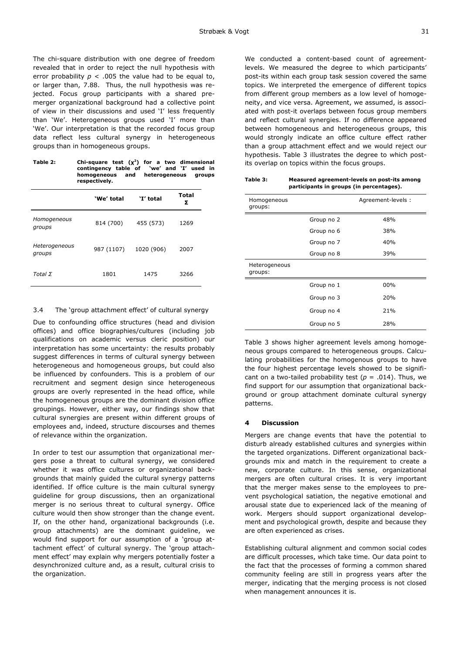The chi-square distribution with one degree of freedom revealed that in order to reject the null hypothesis with error probability  $p < .005$  the value had to be equal to, or larger than, 7.88. Thus, the null hypothesis was rejected. Focus group participants with a shared premerger organizational background had a collective point of view in their discussions and used 'I' less frequently than 'We'. Heterogeneous groups used 'I' more than 'We'. Our interpretation is that the recorded focus group data reflect less cultural synergy in heterogeneous groups than in homogeneous groups.

| Table 2: | Chi-square test $(x^2)$ for a two dimensional |                      |  |  |
|----------|-----------------------------------------------|----------------------|--|--|
|          | contingency table of 'we' and 'I' used in     |                      |  |  |
|          | and<br>homogeneous<br>respectively.           | heterogeneous groups |  |  |

|                         | 'We' total | 'I' total  | <b>Total</b><br>Σ |
|-------------------------|------------|------------|-------------------|
| Homogeneous<br>groups   | 814 (700)  | 455 (573)  | 1269              |
| Heterogeneous<br>groups | 987 (1107) | 1020 (906) | 2007              |
| Total $\Sigma$          | 1801       | 1475       | 3266              |

# 3.4 The 'group attachment effect' of cultural synergy

Due to confounding office structures (head and division offices) and office biographies/cultures (including job qualifications on academic versus cleric position) our interpretation has some uncertainty: the results probably suggest differences in terms of cultural synergy between heterogeneous and homogeneous groups, but could also be influenced by confounders. This is a problem of our recruitment and segment design since heterogeneous groups are overly represented in the head office, while the homogeneous groups are the dominant division office groupings. However, either way, our findings show that cultural synergies are present within different groups of employees and, indeed, structure discourses and themes of relevance within the organization.

In order to test our assumption that organizational mergers pose a threat to cultural synergy, we considered whether it was office cultures or organizational backgrounds that mainly guided the cultural synergy patterns identified. If office culture is the main cultural synergy guideline for group discussions, then an organizational merger is no serious threat to cultural synergy. Office culture would then show stronger than the change event. If, on the other hand, organizational backgrounds (i.e. group attachments) are the dominant guideline, we would find support for our assumption of a 'group attachment effect' of cultural synergy. The 'group attachment effect' may explain why mergers potentially foster a desynchronized culture and, as a result, cultural crisis to the organization.

We conducted a content-based count of agreementlevels. We measured the degree to which participants' post-its within each group task session covered the same topics. We interpreted the emergence of different topics from different group members as a low level of homogeneity, and vice versa. Agreement, we assumed, is associated with post-it overlaps between focus group members and reflect cultural synergies. If no difference appeared between homogeneous and heterogeneous groups, this would strongly indicate an office culture effect rather than a group attachment effect and we would reject our hypothesis. Table 3 illustrates the degree to which postits overlap on topics within the focus groups.

| participants in groups (in percentages). |            |                    |  |  |  |
|------------------------------------------|------------|--------------------|--|--|--|
| Homogeneous<br>groups:                   |            | Agreement-levels : |  |  |  |
|                                          | Group no 2 | 48%                |  |  |  |
|                                          | Group no 6 | 38%                |  |  |  |
|                                          | Group no 7 | 40%                |  |  |  |
|                                          | Group no 8 | 39%                |  |  |  |
| Heterogeneous<br>groups:                 |            |                    |  |  |  |
|                                          | Group no 1 | 00%                |  |  |  |
|                                          | Group no 3 | 20%                |  |  |  |
|                                          | Group no 4 | 21%                |  |  |  |

**Table 3: Measured agreement-levels on post-its among** 

Group no 5 28% Table 3 shows higher agreement levels among homogeneous groups compared to heterogeneous groups. Calculating probabilities for the homogenous groups to have the four highest percentage levels showed to be significant on a two-tailed probability test  $(p = .014)$ . Thus, we find support for our assumption that organizational background or group attachment dominate cultural synergy

#### **4 Discussion**

patterns.

Mergers are change events that have the potential to disturb already established cultures and synergies within the targeted organizations. Different organizational backgrounds mix and match in the requirement to create a new, corporate culture. In this sense, organizational mergers are often cultural crises. It is very important that the merger makes sense to the employees to prevent psychological satiation, the negative emotional and arousal state due to experienced lack of the meaning of work. Mergers should support organizational development and psychological growth, despite and because they are often experienced as crises.

Establishing cultural alignment and common social codes are difficult processes, which take time. Our data point to the fact that the processes of forming a common shared community feeling are still in progress years after the merger, indicating that the merging process is not closed when management announces it is.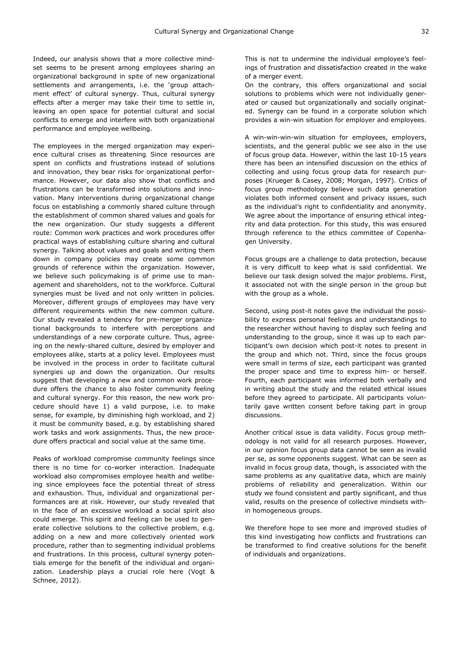Indeed, our analysis shows that a more collective mindset seems to be present among employees sharing an organizational background in spite of new organizational settlements and arrangements, i.e. the 'group attachment effect' of cultural synergy. Thus, cultural synergy effects after a merger may take their time to settle in, leaving an open space for potential cultural and social conflicts to emerge and interfere with both organizational performance and employee wellbeing.

The employees in the merged organization may experience cultural crises as threatening. Since resources are spent on conflicts and frustrations instead of solutions and innovation, they bear risks for organizational performance. However, our data also show that conflicts and frustrations can be transformed into solutions and innovation. Many interventions during organizational change focus on establishing a commonly shared culture through the establishment of common shared values and goals for the new organization. Our study suggests a different route: Common work practices and work procedures offer practical ways of establishing culture sharing and cultural synergy. Talking about values and goals and writing them down in company policies may create some common grounds of reference within the organization. However, we believe such policymaking is of prime use to management and shareholders, not to the workforce. Cultural synergies must be lived and not only written in policies. Moreover, different groups of employees may have very different requirements within the new common culture. Our study revealed a tendency for pre-merger organizational backgrounds to interfere with perceptions and understandings of a new corporate culture. Thus, agreeing on the newly-shared culture, desired by employer and employees alike, starts at a policy level. Employees must be involved in the process in order to facilitate cultural synergies up and down the organization. Our results suggest that developing a new and common work procedure offers the chance to also foster community feeling and cultural synergy. For this reason, the new work procedure should have 1) a valid purpose, i.e. to make sense, for example, by diminishing high workload, and 2) it must be community based, e.g. by establishing shared work tasks and work assignments. Thus, the new procedure offers practical and social value at the same time.

Peaks of workload compromise community feelings since there is no time for co-worker interaction. Inadequate workload also compromises employee health and wellbeing since employees face the potential threat of stress and exhaustion. Thus, individual and organizational performances are at risk. However, our study revealed that in the face of an excessive workload a social spirit also could emerge. This spirit and feeling can be used to generate collective solutions to the collective problem, e.g. adding on a new and more collectively oriented work procedure, rather than to segmenting individual problems and frustrations. In this process, cultural synergy potentials emerge for the benefit of the individual and organization. Leadership plays a crucial role here (Vogt & Schnee, 2012).

This is not to undermine the individual employee's feelings of frustration and dissatisfaction created in the wake of a merger event.

On the contrary, this offers organizational and social solutions to problems which were not individually generated or caused but organizationally and socially originated. Synergy can be found in a corporate solution which provides a win-win situation for employer and employees.

A win-win-win-win situation for employees, employers, scientists, and the general public we see also in the use of focus group data. However, within the last 10-15 years there has been an intensified discussion on the ethics of collecting and using focus group data for research purposes (Krueger & Casey, 2008; Morgan, 1997). Critics of focus group methodology believe such data generation violates both informed consent and privacy issues, such as the individual's right to confidentiality and anonymity. We agree about the importance of ensuring ethical integrity and data protection. For this study, this was ensured through reference to the ethics committee of Copenhagen University.

Focus groups are a challenge to data protection, because it is very difficult to keep what is said confidential. We believe our task design solved the major problems. First, it associated not with the single person in the group but with the group as a whole.

Second, using post-it notes gave the individual the possibility to express personal feelings and understandings to the researcher without having to display such feeling and understanding to the group, since it was up to each participant's own decision which post-it notes to present in the group and which not. Third, since the focus groups were small in terms of size, each participant was granted the proper space and time to express him- or herself. Fourth, each participant was informed both verbally and in writing about the study and the related ethical issues before they agreed to participate. All participants voluntarily gave written consent before taking part in group discussions.

Another critical issue is data validity. Focus group methodology is not valid for all research purposes. However, in our opinion focus group data cannot be seen as invalid per se, as some opponents suggest. What can be seen as invalid in focus group data, though, is associated with the same problems as any qualitative data, which are mainly problems of reliability and generalization. Within our study we found consistent and partly significant, and thus valid, results on the presence of collective mindsets within homogeneous groups.

We therefore hope to see more and improved studies of this kind investigating how conflicts and frustrations can be transformed to find creative solutions for the benefit of individuals and organizations.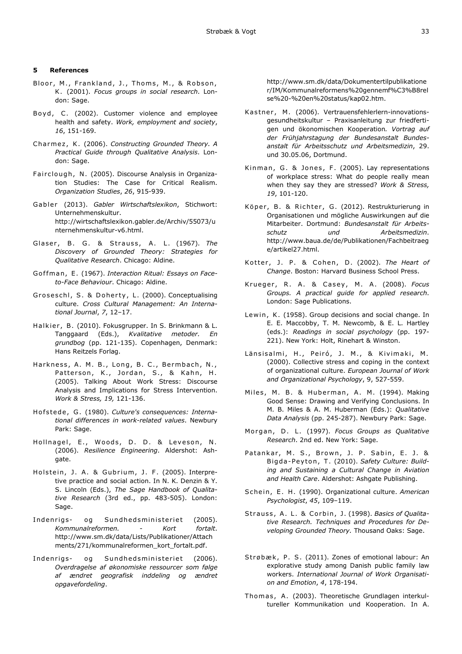### **5 References**

- Bloor, M., Frankland, J., Thoms, M., & Robson, K . (2001). *Focus groups in social research*. London: Sage.
- Boyd, C. (2002). Customer violence and employee health and safety. *Work, employment and society*, *16*, 151-169.
- Cha rme z , K . (2006). *Constructing Grounded Theory. A Practical Guide through Qualitative Analysis*. London: Sage.
- Fairclough, N. (2005). Discourse Analysis in Organization Studies: The Case for Critical Realism. *Organization Studies*, *26*, 915-939.
- Gabler (2013). Gabler Wirtschaftslexikon, Stichwort: Unternehmenskultur. http://wirtschaftslexikon.gabler.de/Archiv/55073/u nternehmenskultur-v6.html.
- Glaser, B. G. & Strauss, A. L. (1967). The *Discovery of Grounded Theory: Strategies for Qualitative Research*. Chicago: Aldine.
- Goffman, E. (1967). Interaction Ritual: Essays on Face*to-Face Behaviour*. Chicago: Aldine.
- Groseschl, S. & Doherty, L. (2000). Conceptualising culture. *Cross Cultural Management: An International Journal*, *7*, 12–17.
- Halkier, B. (2010). Fokusgrupper. In S. Brinkmann & L. Tanggaard (Eds.), *Kvalitative metoder. En grundbog* (pp. 121-135). Copenhagen, Denmark: Hans Reitzels Forlag.
- Harkness, A. M. B., Long, B. C., Bermbach, N., Patterson, K., Jordan, S., & Kahn, H. (2005). Talking About Work Stress: Discourse Analysis and Implications for Stress Intervention. *Work & Stress, 19,* 121-136.
- Hofstede, G. (1980). *Culture's consequences: International differences in work-related values*. Newbury Park: Sage.
- Hollnagel, E., Woods, D. D. & Leveson, N. (2006). *Resilience Engineering*. Aldershot: Ashgate.
- Holstein, J. A. & Gubrium, J. F. (2005). Interpretive practice and social action. In N. K. Denzin & Y. S. Lincoln (Eds.), *The Sage Handbook of Qualitative Research* (3rd ed., pp. 483-505). London: Sage.
- Indenrigs- og Sundhedsministeriet (2005). *Kommunalreformen. - Kort fortalt*. http://www.sm.dk/data/Lists/Publikationer/Attach ments/271/kommunalreformen\_kort\_fortalt.pdf.
- Indenrigs- og Sundhedsministeriet (2006). *Overdragelse af økonomiske ressourcer som følge af ændret geografisk inddeling og ændret opgavefordeling*.

http://www.sm.dk/data/Dokumentertilpublikatione r/IM/Kommunalreformens%20gennemf%C3%B8rel se%20-%20en%20status/kap02.htm.

- Kastner, M. (2006). Vertrauensfehlerlern-innovationsgesundheitskultur – Praxisanleitung zur friedfertigen und ökonomischen Kooperation*. Vortrag auf der Frühjahrstagung der Bundesanstalt Bundesanstalt für Arbeitsschutz und Arbeitsmedizin*, 29. und 30.05.06, Dortmund.
- Kinman, G. & Jones, F. (2005). Lay representations of workplace stress: What do people really mean when they say they are stressed? *Work & Stress, 19*, 101-120.
- Köper, B. & Richter, G. (2012). Restrukturierung in Organisationen und mögliche Auswirkungen auf die Mitarbeiter. Dortmund: *Bundesanstalt für Arbeitsschutz und Arbeitsmedizin*. http://www.baua.de/de/Publikationen/Fachbeitraeg e/artikel27.html.
- Kotter, J. P. & Cohen, D. (2002). *The Heart of Change*. Boston: Harvard Business School Press.
- Krueger, R. A. & Casey, M. A. (2008). Focus *Groups. A practical guide for applied research*. London: Sage Publications.
- Lewin, K. (1958). Group decisions and social change. In E. E. Maccobby, T. M. Newcomb, & E. L. Hartley (eds.): *Readings in social psychology* (pp. 197- 221). New York: Holt, Rinehart & Winston.
- Länsisalmi, H., Peiró, J. M., & Kivimaki, M. (2000). Collective stress and coping in the context of organizational culture. *European Journal of Work and Organizational Psychology*, 9, 527-559.
- Miles, M. B. & Huberman, A. M. (1994). Making Good Sense: Drawing and Verifying Conclusions. In M. B. Miles & A. M. Huberman (Eds.): *Qualitative Data Analysis* (pp. 245-287). Newbury Park: Sage.
- Morgan, D. L. (1997). *Focus Groups as Qualitative Research*. 2nd ed. New York: Sage.
- Patankar, M. S., Brown, J. P. Sabin, E. J. & Bigda-Peyton, T. (2010). Safety Culture: Build*ing and Sustaining a Cultural Change in Aviation and Health Care*. Aldershot: Ashgate Publishing.
- Schein, E. H. (1990). Organizational culture. American *Psychologist*, *45*, 109–119.
- Strauss, A. L. & Corbin, J. (1998). *Basics of Qualitative Research. Techniques and Procedures for Developing Grounded Theory.* Thousand Oaks: Sage.
- Strøbæk, P. S. (2011). Zones of emotional labour: An explorative study among Danish public family law workers. *International Journal of Work Organisation and Emotion*, *4*, 178-194.
- Thomas, A. (2003). Theoretische Grundlagen interkultureller Kommunikation und Kooperation. In A.